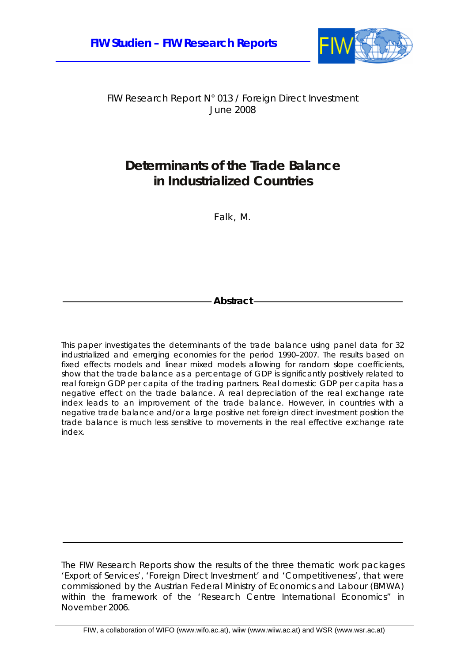

FIW Research Report N° 013 / Foreign Direct Investment June 2008

## **Determinants of the Trade Balance in Industrialized Countries**

Falk, M.

**Abstract** 

This paper investigates the determinants of the trade balance using panel data for 32 industrialized and emerging economies for the period 1990–2007. The results based on fixed effects models and linear mixed models allowing for random slope coefficients, show that the trade balance as a percentage of GDP is significantly positively related to real foreign GDP per capita of the trading partners. Real domestic GDP per capita has a negative effect on the trade balance. A real depreciation of the real exchange rate index leads to an improvement of the trade balance. However, in countries with a negative trade balance and/or a large positive net foreign direct investment position the trade balance is much less sensitive to movements in the real effective exchange rate index.

The FIW Research Reports show the results of the three thematic work packages 'Export of Services', 'Foreign Direct Investment' and 'Competitiveness', that were commissioned by the Austrian Federal Ministry of Economics and Labour (BMWA) within the framework of the 'Research Centre International Economics" in November 2006.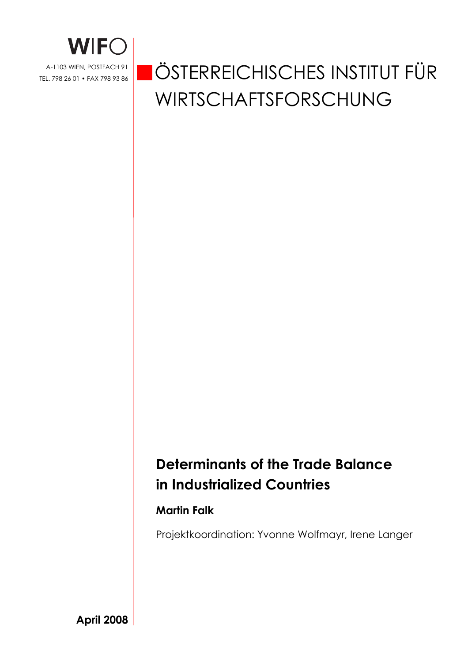

# ÖSTERREICHISCHES INSTITUT FÜR WIRTSCHAFTSFORSCHUNG

## **Determinants of the Trade Balance in Industrialized Countries**

## **Martin Falk**

Projektkoordination: Yvonne Wolfmayr, Irene Langer

**April 2008**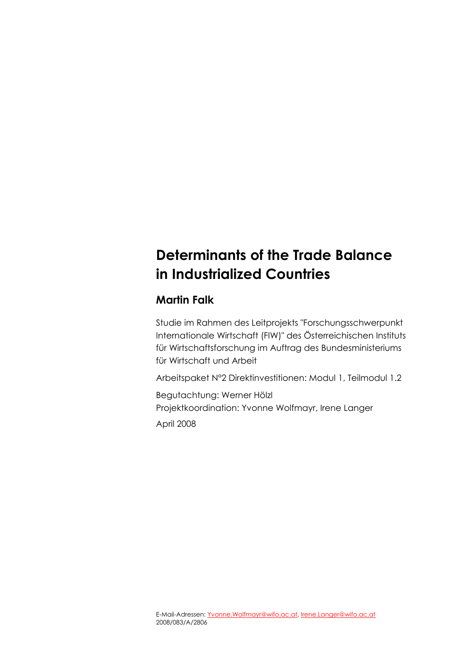## **Determinants of the Trade Balance in Industrialized Countries**

## **Martin Falk**

Studie im Rahmen des Leitprojekts "Forschungsschwerpunkt Internationale Wirtschaft (FIW)" des Österreichischen Instituts für Wirtschaftsforschung im Auftrag des Bundesministeriums für Wirtschaft und Arbeit

Arbeitspaket N°2 Direktinvestitionen: Modul 1, Teilmodul 1.2

Begutachtung: Werner Hölzl Projektkoordination: Yvonne Wolfmayr, Irene Langer April 2008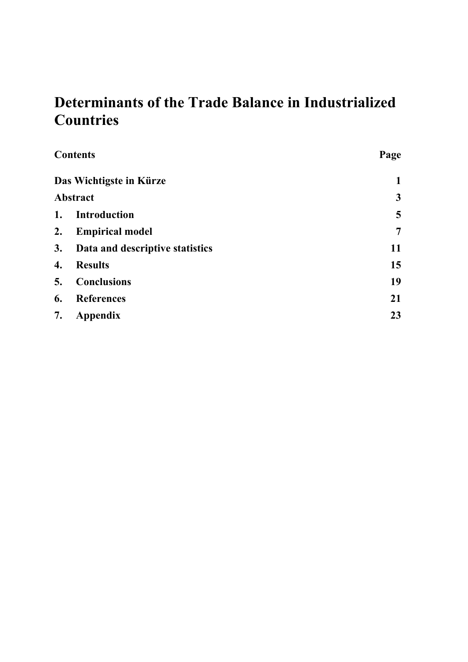## **Determinants of the Trade Balance in Industrialized Countries**

|    | <b>Contents</b>                 | Page           |
|----|---------------------------------|----------------|
|    | Das Wichtigste in Kürze         | 1              |
|    | <b>Abstract</b>                 | $\mathbf{3}$   |
| 1. | <b>Introduction</b>             | 5              |
| 2. | <b>Empirical model</b>          | $\overline{7}$ |
| 3. | Data and descriptive statistics | 11             |
| 4. | <b>Results</b>                  | 15             |
| 5. | <b>Conclusions</b>              | 19             |
| 6. | <b>References</b>               | 21             |
| 7. | Appendix                        | 23             |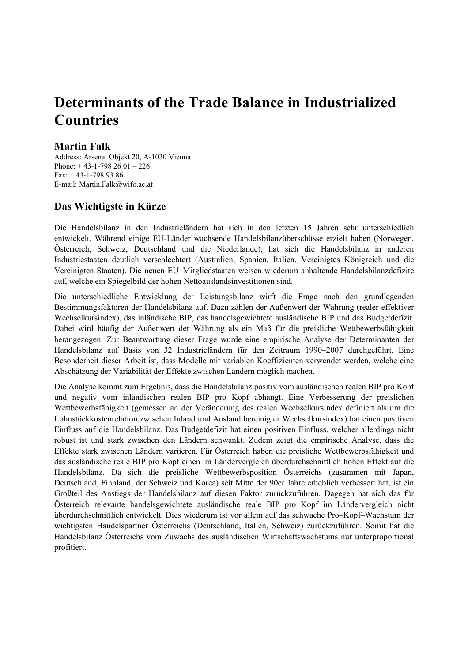## **Determinants of the Trade Balance in Industrialized Countries**

### **Martin Falk**

Address: Arsenal Objekt 20, A-1030 Vienna Phone: + 43-1-798 26 01 – 226 Fax: + 43-1-798 93 86 E-mail: Martin.Falk@wifo.ac.at

### **Das Wichtigste in Kürze**

Die Handelsbilanz in den Industrieländern hat sich in den letzten 15 Jahren sehr unterschiedlich entwickelt. Während einige EU-Länder wachsende Handelsbilanzüberschüsse erzielt haben (Norwegen, Österreich, Schweiz, Deutschland und die Niederlande), hat sich die Handelsbilanz in anderen Industriestaaten deutlich verschlechtert (Australien, Spanien, Italien, Vereinigtes Königreich und die Vereinigten Staaten). Die neuen EU–Mitgliedstaaten weisen wiederum anhaltende Handelsbilanzdefizite auf, welche ein Spiegelbild der hohen Nettoauslandsinvestitionen sind.

Die unterschiedliche Entwicklung der Leistungsbilanz wirft die Frage nach den grundlegenden Bestimmungsfaktoren der Handelsbilanz auf. Dazu zählen der Außenwert der Währung (realer effektiver Wechselkursindex), das inländische BIP, das handelsgewichtete ausländische BIP und das Budgetdefizit. Dabei wird häufig der Außenwert der Währung als ein Maß für die preisliche Wettbewerbsfähigkeit herangezogen. Zur Beantwortung dieser Frage wurde eine empirische Analyse der Determinanten der Handelsbilanz auf Basis von 32 Industrieländern für den Zeitraum 1990–2007 durchgeführt. Eine Besonderheit dieser Arbeit ist, dass Modelle mit variablen Koeffizienten verwendet werden, welche eine Abschätzung der Variabilität der Effekte zwischen Ländern möglich machen.

Die Analyse kommt zum Ergebnis, dass die Handelsbilanz positiv vom ausländischen realen BIP pro Kopf und negativ vom inländischen realen BIP pro Kopf abhängt. Eine Verbesserung der preislichen Wettbewerbsfähigkeit (gemessen an der Veränderung des realen Wechselkursindex definiert als um die Lohnstückkostenrelation zwischen Inland und Ausland bereinigter Wechselkursindex) hat einen positiven Einfluss auf die Handelsbilanz. Das Budgetdefizit hat einen positiven Einfluss, welcher allerdings nicht robust ist und stark zwischen den Ländern schwankt. Zudem zeigt die empirische Analyse, dass die Effekte stark zwischen Ländern variieren. Für Österreich haben die preisliche Wettbewerbsfähigkeit und das ausländische reale BIP pro Kopf einen im Ländervergleich überdurchschnittlich hohen Effekt auf die Handelsbilanz. Da sich die preisliche Wettbewerbsposition Österreichs (zusammen mit Japan, Deutschland, Finnland, der Schweiz und Korea) seit Mitte der 90er Jahre erheblich verbessert hat, ist ein Großteil des Anstiegs der Handelsbilanz auf diesen Faktor zurückzuführen. Dagegen hat sich das für Österreich relevante handelsgewichtete ausländische reale BIP pro Kopf im Ländervergleich nicht überdurchschnittlich entwickelt. Dies wiederum ist vor allem auf das schwache Pro–Kopf–Wachstum der wichtigsten Handelspartner Österreichs (Deutschland, Italien, Schweiz) zurückzuführen. Somit hat die Handelsbilanz Österreichs vom Zuwachs des ausländischen Wirtschaftswachstums nur unterproportional profitiert.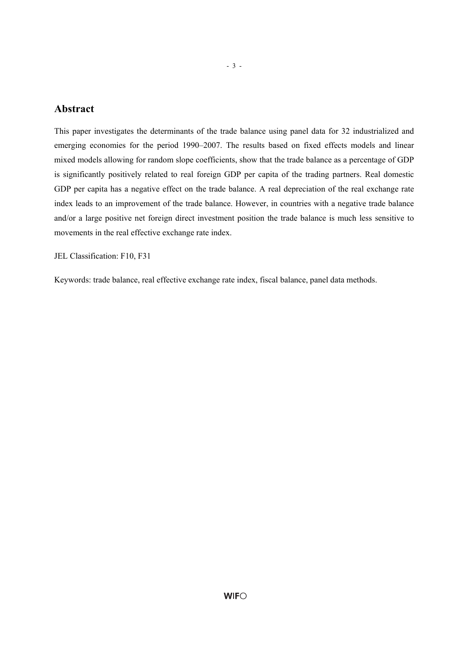### **Abstract**

This paper investigates the determinants of the trade balance using panel data for 32 industrialized and emerging economies for the period 1990–2007. The results based on fixed effects models and linear mixed models allowing for random slope coefficients, show that the trade balance as a percentage of GDP is significantly positively related to real foreign GDP per capita of the trading partners. Real domestic GDP per capita has a negative effect on the trade balance. A real depreciation of the real exchange rate index leads to an improvement of the trade balance. However, in countries with a negative trade balance and/or a large positive net foreign direct investment position the trade balance is much less sensitive to movements in the real effective exchange rate index.

JEL Classification: F10, F31

Keywords: trade balance, real effective exchange rate index, fiscal balance, panel data methods.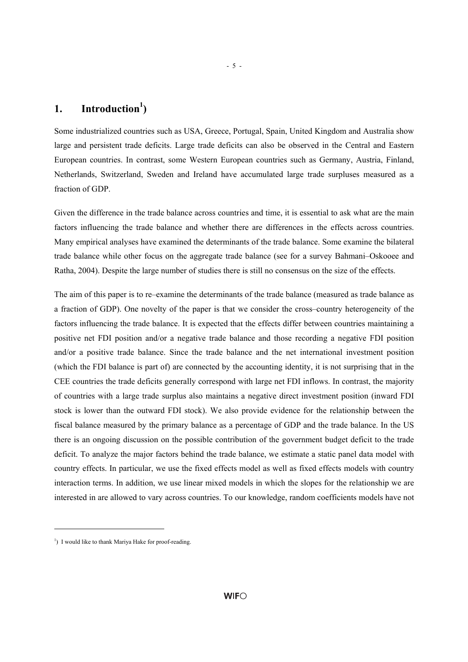## 1. Introduction<sup>1</sup>)

Some industrialized countries such as USA, Greece, Portugal, Spain, United Kingdom and Australia show large and persistent trade deficits. Large trade deficits can also be observed in the Central and Eastern European countries. In contrast, some Western European countries such as Germany, Austria, Finland, Netherlands, Switzerland, Sweden and Ireland have accumulated large trade surpluses measured as a fraction of GDP.

Given the difference in the trade balance across countries and time, it is essential to ask what are the main factors influencing the trade balance and whether there are differences in the effects across countries. Many empirical analyses have examined the determinants of the trade balance. Some examine the bilateral trade balance while other focus on the aggregate trade balance (see for a survey Bahmani–Oskooee and Ratha, 2004). Despite the large number of studies there is still no consensus on the size of the effects.

The aim of this paper is to re–examine the determinants of the trade balance (measured as trade balance as a fraction of GDP). One novelty of the paper is that we consider the cross–country heterogeneity of the factors influencing the trade balance. It is expected that the effects differ between countries maintaining a positive net FDI position and/or a negative trade balance and those recording a negative FDI position and/or a positive trade balance. Since the trade balance and the net international investment position (which the FDI balance is part of) are connected by the accounting identity, it is not surprising that in the CEE countries the trade deficits generally correspond with large net FDI inflows. In contrast, the majority of countries with a large trade surplus also maintains a negative direct investment position (inward FDI stock is lower than the outward FDI stock). We also provide evidence for the relationship between the fiscal balance measured by the primary balance as a percentage of GDP and the trade balance. In the US there is an ongoing discussion on the possible contribution of the government budget deficit to the trade deficit. To analyze the major factors behind the trade balance, we estimate a static panel data model with country effects. In particular, we use the fixed effects model as well as fixed effects models with country interaction terms. In addition, we use linear mixed models in which the slopes for the relationship we are interested in are allowed to vary across countries. To our knowledge, random coefficients models have not

l

- 5 -

<sup>&</sup>lt;sup>1</sup>) I would like to thank Mariya Hake for proof-reading.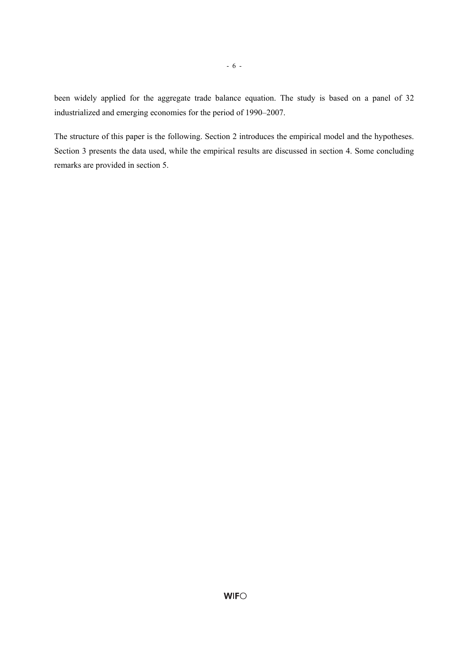been widely applied for the aggregate trade balance equation. The study is based on a panel of 32 industrialized and emerging economies for the period of 1990–2007.

- 6 -

The structure of this paper is the following. Section 2 introduces the empirical model and the hypotheses. Section 3 presents the data used, while the empirical results are discussed in section 4. Some concluding remarks are provided in section 5.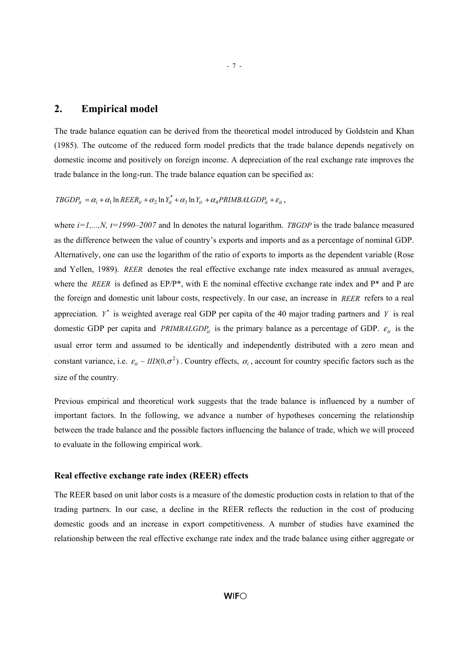#### **2. Empirical model**

The trade balance equation can be derived from the theoretical model introduced by Goldstein and Khan (1985). The outcome of the reduced form model predicts that the trade balance depends negatively on domestic income and positively on foreign income. A depreciation of the real exchange rate improves the trade balance in the long-run. The trade balance equation can be specified as:

 $TBGDP_{it} = \alpha_i + \alpha_1 \ln REER_{it} + \alpha_2 \ln Y_{it}^* + \alpha_3 \ln Y_{it} + \alpha_4 PRIMBALGDP_{it} + \varepsilon_{it}$ ,

where  $i=1,...,N$ ,  $t=1990-2007$  and ln denotes the natural logarithm. *TBGDP* is the trade balance measured as the difference between the value of country's exports and imports and as a percentage of nominal GDP. Alternatively, one can use the logarithm of the ratio of exports to imports as the dependent variable (Rose and Yellen, 1989). *REER* denotes the real effective exchange rate index measured as annual averages, where the *REER* is defined as EP/P<sup>\*</sup>, with E the nominal effective exchange rate index and P<sup>\*</sup> and P are the foreign and domestic unit labour costs, respectively. In our case, an increase in *REER* refers to a real appreciation.  $Y^*$  is weighted average real GDP per capita of the 40 major trading partners and  $Y$  is real domestic GDP per capita and *PRIMBALGDP<sub>it</sub>* is the primary balance as a percentage of GDP.  $\varepsilon_{it}$  is the usual error term and assumed to be identically and independently distributed with a zero mean and constant variance, i.e.  $\varepsilon_{it} \sim \text{IID}(0, \sigma^2)$ . Country effects,  $\alpha_i$ , account for country specific factors such as the size of the country.

Previous empirical and theoretical work suggests that the trade balance is influenced by a number of important factors. In the following, we advance a number of hypotheses concerning the relationship between the trade balance and the possible factors influencing the balance of trade, which we will proceed to evaluate in the following empirical work.

#### **Real effective exchange rate index (REER) effects**

The REER based on unit labor costs is a measure of the domestic production costs in relation to that of the trading partners. In our case, a decline in the REER reflects the reduction in the cost of producing domestic goods and an increase in export competitiveness. A number of studies have examined the relationship between the real effective exchange rate index and the trade balance using either aggregate or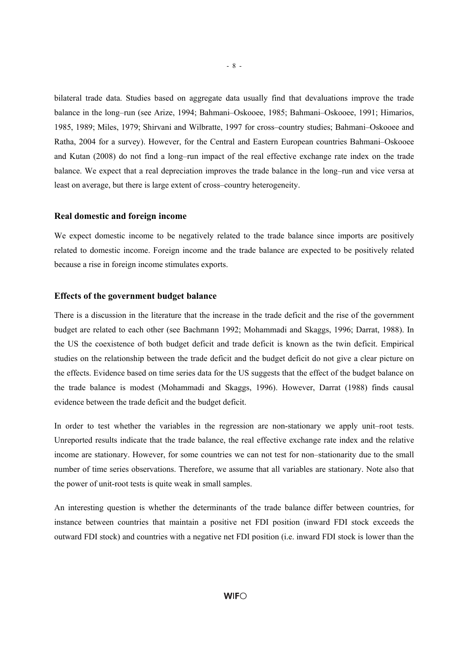bilateral trade data. Studies based on aggregate data usually find that devaluations improve the trade balance in the long–run (see Arize, 1994; Bahmani–Oskooee, 1985; Bahmani–Oskooee, 1991; Himarios, 1985, 1989; Miles, 1979; Shirvani and Wilbratte, 1997 for cross–country studies; Bahmani–Oskooee and Ratha, 2004 for a survey). However, for the Central and Eastern European countries Bahmani–Oskooee and Kutan (2008) do not find a long–run impact of the real effective exchange rate index on the trade balance. We expect that a real depreciation improves the trade balance in the long–run and vice versa at least on average, but there is large extent of cross–country heterogeneity.

#### **Real domestic and foreign income**

We expect domestic income to be negatively related to the trade balance since imports are positively related to domestic income. Foreign income and the trade balance are expected to be positively related because a rise in foreign income stimulates exports.

#### **Effects of the government budget balance**

There is a discussion in the literature that the increase in the trade deficit and the rise of the government budget are related to each other (see Bachmann 1992; Mohammadi and Skaggs, 1996; Darrat, 1988). In the US the coexistence of both budget deficit and trade deficit is known as the twin deficit. Empirical studies on the relationship between the trade deficit and the budget deficit do not give a clear picture on the effects. Evidence based on time series data for the US suggests that the effect of the budget balance on the trade balance is modest (Mohammadi and Skaggs, 1996). However, Darrat (1988) finds causal evidence between the trade deficit and the budget deficit.

In order to test whether the variables in the regression are non-stationary we apply unit–root tests. Unreported results indicate that the trade balance, the real effective exchange rate index and the relative income are stationary. However, for some countries we can not test for non–stationarity due to the small number of time series observations. Therefore, we assume that all variables are stationary. Note also that the power of unit-root tests is quite weak in small samples.

An interesting question is whether the determinants of the trade balance differ between countries, for instance between countries that maintain a positive net FDI position (inward FDI stock exceeds the outward FDI stock) and countries with a negative net FDI position (i.e. inward FDI stock is lower than the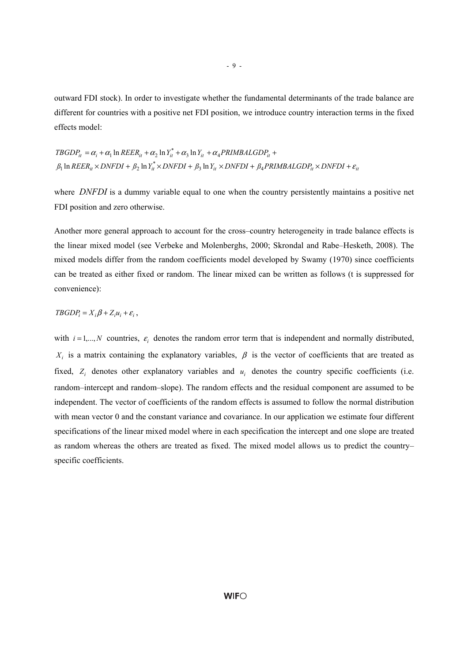outward FDI stock). In order to investigate whether the fundamental determinants of the trade balance are different for countries with a positive net FDI position, we introduce country interaction terms in the fixed effects model:

 $\beta_1$  ln  $REER_{it} \times DNFDI + \beta_2$  ln  $Y_{it}^* \times DNFDI + \beta_3$  ln  $Y_{it} \times DNFDI + \beta_4 PRIMBALGDP_{it} \times DNFDI + \varepsilon_{it}$  $TBGDP_{it} = \alpha_i + \alpha_1 \ln REER_{it} + \alpha_2 \ln Y_{it}^* + \alpha_3 \ln Y_{it} + \alpha_4 PRIMBALGDP_{it} +$ 

where *DNFDI* is a dummy variable equal to one when the country persistently maintains a positive net FDI position and zero otherwise.

Another more general approach to account for the cross–country heterogeneity in trade balance effects is the linear mixed model (see Verbeke and Molenberghs, 2000; Skrondal and Rabe–Hesketh, 2008). The mixed models differ from the random coefficients model developed by Swamy (1970) since coefficients can be treated as either fixed or random. The linear mixed can be written as follows (t is suppressed for convenience):

#### $TBGDP_i = X_i\beta + Z_iu_i + \varepsilon_i$ ,

with  $i = 1,...,N$  countries,  $\varepsilon_i$  denotes the random error term that is independent and normally distributed,  $X_i$  is a matrix containing the explanatory variables,  $\beta$  is the vector of coefficients that are treated as fixed,  $Z_i$  denotes other explanatory variables and  $u_i$  denotes the country specific coefficients (i.e. random–intercept and random–slope). The random effects and the residual component are assumed to be independent. The vector of coefficients of the random effects is assumed to follow the normal distribution with mean vector 0 and the constant variance and covariance. In our application we estimate four different specifications of the linear mixed model where in each specification the intercept and one slope are treated as random whereas the others are treated as fixed. The mixed model allows us to predict the country– specific coefficients.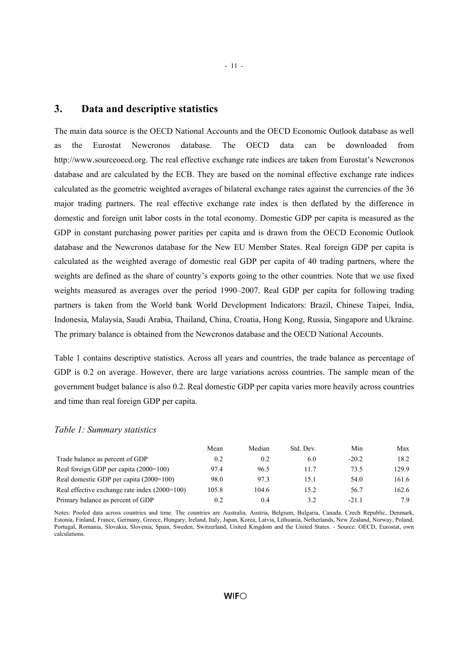#### **3. Data and descriptive statistics**

The main data source is the OECD National Accounts and the OECD Economic Outlook database as well as the Eurostat Newcronos database. The OECD data can be downloaded from http://www.sourceoecd.org. The real effective exchange rate indices are taken from Eurostat's Newcronos database and are calculated by the ECB. They are based on the nominal effective exchange rate indices calculated as the geometric weighted averages of bilateral exchange rates against the currencies of the 36 major trading partners. The real effective exchange rate index is then deflated by the difference in domestic and foreign unit labor costs in the total economy. Domestic GDP per capita is measured as the GDP in constant purchasing power parities per capita and is drawn from the OECD Economic Outlook database and the Newcronos database for the New EU Member States. Real foreign GDP per capita is calculated as the weighted average of domestic real GDP per capita of 40 trading partners, where the weights are defined as the share of country's exports going to the other countries. Note that we use fixed weights measured as averages over the period 1990–2007. Real GDP per capita for following trading partners is taken from the World bank World Development Indicators: Brazil, Chinese Taipei, India, Indonesia, Malaysia, Saudi Arabia, Thailand, China, Croatia, Hong Kong, Russia, Singapore and Ukraine. The primary balance is obtained from the Newcronos database and the OECD National Accounts.

Table 1 contains descriptive statistics. Across all years and countries, the trade balance as percentage of GDP is 0.2 on average. However, there are large variations across countries. The sample mean of the government budget balance is also 0.2. Real domestic GDP per capita varies more heavily across countries and time than real foreign GDP per capita.

#### *Table 1: Summary statistics*

|                                               | Mean  | Median | Std. Dev. | Min     | Max   |
|-----------------------------------------------|-------|--------|-----------|---------|-------|
| Trade balance as percent of GDP               | 0.2   | 0.2    | 6.0       | $-20.2$ | 18.2  |
| Real foreign GDP per capita (2000=100)        | 97.4  | 96.5   | 11.7      | 73.5    | 129.9 |
| Real domestic GDP per capita (2000=100)       | 98.0  | 97.3   | 15.1      | 54.0    | 161.6 |
| Real effective exchange rate index (2000=100) | 105.8 | 104.6  | 15.2      | 56.7    | 162.6 |
| Primary balance as percent of GDP             | 0.2   | 0.4    | 3.2       | $-211$  | 7.9   |

Notes: Pooled data across countries and time. The countries are Australia, Austria, Belgium, Bulgaria, Canada, Czech Republic, Denmark, Estonia, Finland, France, Germany, Greece, Hungary, Ireland, Italy, Japan, Korea, Latvia, Lithuania, Netherlands, New Zealand, Norway, Poland, Portugal, Romania, Slovakia, Slovenia, Spain, Sweden, Switzerland, United Kingdom and the United States. - Source: OECD, Eurostat, own calculations.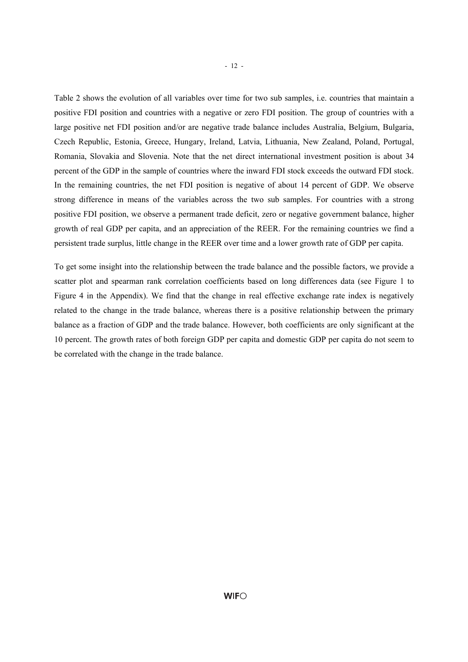Table 2 shows the evolution of all variables over time for two sub samples, i.e. countries that maintain a positive FDI position and countries with a negative or zero FDI position. The group of countries with a large positive net FDI position and/or are negative trade balance includes Australia, Belgium, Bulgaria, Czech Republic, Estonia, Greece, Hungary, Ireland, Latvia, Lithuania, New Zealand, Poland, Portugal, Romania, Slovakia and Slovenia. Note that the net direct international investment position is about 34 percent of the GDP in the sample of countries where the inward FDI stock exceeds the outward FDI stock. In the remaining countries, the net FDI position is negative of about 14 percent of GDP. We observe strong difference in means of the variables across the two sub samples. For countries with a strong positive FDI position, we observe a permanent trade deficit, zero or negative government balance, higher growth of real GDP per capita, and an appreciation of the REER. For the remaining countries we find a persistent trade surplus, little change in the REER over time and a lower growth rate of GDP per capita.

To get some insight into the relationship between the trade balance and the possible factors, we provide a scatter plot and spearman rank correlation coefficients based on long differences data (see Figure 1 to Figure 4 in the Appendix). We find that the change in real effective exchange rate index is negatively related to the change in the trade balance, whereas there is a positive relationship between the primary balance as a fraction of GDP and the trade balance. However, both coefficients are only significant at the 10 percent. The growth rates of both foreign GDP per capita and domestic GDP per capita do not seem to be correlated with the change in the trade balance.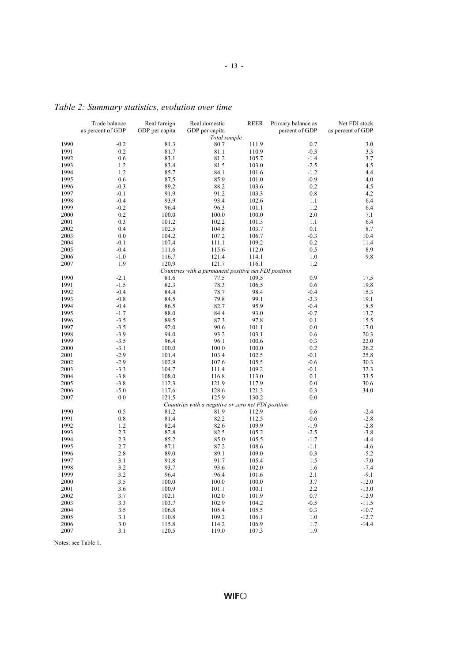| Total sample<br>1990<br>$-0.2$<br>80.7<br>111.9<br>0.7<br>3.0<br>81.3<br>1991<br>0.2<br>81.7<br>81.1<br>3.3<br>110.9<br>$-0.3$<br>83.1<br>81.2<br>1992<br>0.6<br>105.7<br>$-1.4$<br>3.7<br>1993<br>1.2<br>83.4<br>81.5<br>$-2.5$<br>103.0<br>4.5<br>1.2<br>85.7<br>84.1<br>$-1.2$<br>4.4<br>1994<br>101.6<br>1995<br>0.6<br>87.5<br>85.9<br>101.0<br>$-0.9$<br>4.0<br>1996<br>$-0.3$<br>89.2<br>88.2<br>103.6<br>0.2<br>4.5<br>1997<br>91.9<br>91.2<br>0.8<br>$-0.1$<br>103.3<br>4.2<br>1998<br>$-0.4$<br>93.9<br>93.4<br>102.6<br>1.1<br>6.4<br>1999<br>$-0.2$<br>96.4<br>96.3<br>101.1<br>1.2<br>6.4<br>0.2<br>100.0<br>2.0<br>2000<br>100.0<br>100.0<br>7.1<br>2001<br>101.2<br>102.2<br>101.3<br>1.1<br>6.4<br>0.3<br>102.5<br>2002<br>0.4<br>104.8<br>103.7<br>0.1<br>8.7<br>0.0<br>$-0.3$<br>2003<br>104.2<br>107.2<br>106.7<br>10.4<br>0.2<br>2004<br>$-0.1$<br>107.4<br>111.1<br>109.2<br>11.4<br>112.0<br>2005<br>$-0.4$<br>111.6<br>115.6<br>0.5<br>8.9<br>2006<br>$-1.0$<br>116.7<br>121.4<br>114.1<br>1.0<br>9.8<br>1.9<br>120.9<br>121.7<br>1.2<br>2007<br>116.1<br>Countries with a permanent positive net FDI position<br>0.9<br>1990<br>$-2.1$<br>81.6<br>77.5<br>109.5<br>17.5<br>82.3<br>1991<br>$-1.5$<br>78.3<br>106.5<br>0.6<br>19.8<br>1992<br>$-0.4$<br>$-0.4$<br>84.4<br>78.7<br>98.4<br>15.3<br>$-2.3$<br>1993<br>$-0.8$<br>84.5<br>79.8<br>99.1<br>19.1<br>$-0.4$<br>1994<br>$-0.4$<br>86.5<br>82.7<br>95.9<br>18.5<br>$-0.7$<br>1995<br>$-1.7$<br>88.0<br>84.4<br>93.0<br>13.7<br>1996<br>$-3.5$<br>89.5<br>87.3<br>97.8<br>0.1<br>15.5<br>1997<br>$-3.5$<br>92.0<br>90.6<br>101.1<br>0.0<br>17.0<br>1998<br>$-3.9$<br>94.0<br>93.2<br>103.1<br>0.6<br>20.3<br>1999<br>$-3.5$<br>96.4<br>96.1<br>100.6<br>0.3<br>22.0<br>$-3.1$<br>0.2<br>2000<br>100.0<br>100.0<br>100.0<br>26.2<br>$-2.9$<br>$-0.1$<br>2001<br>103.4<br>102.5<br>25.8<br>101.4<br>$-2.9$<br>$-0.6$<br>2002<br>102.9<br>107.6<br>105.5<br>30.3<br>$-0.1$<br>2003<br>$-3.3$<br>104.7<br>111.4<br>109.2<br>32.3<br>$-3.8$<br>0.1<br>2004<br>108.0<br>116.8<br>113.0<br>33.5<br>2005<br>$-3.8$<br>112.3<br>121.9<br>0.0<br>30.6<br>117.9<br>$-5.0$<br>2006<br>117.6<br>128.6<br>121.3<br>0.3<br>34.0<br>121.5<br>125.9<br>2007<br>0.0<br>130.2<br>0.0<br>Countries with a negative or zero net FDI position<br>0.6<br>1990<br>0.5<br>81.2<br>81.9<br>112.9<br>$-2.4$<br>1991<br>0.8<br>$-0.6$<br>81.4<br>82.2<br>112.5<br>$-2.8$<br>1992<br>1.2<br>82.6<br>$-1.9$<br>82.4<br>109.9<br>$-2.8$<br>1993<br>2.3<br>$-2.5$<br>82.8<br>82.5<br>105.2<br>$-3.8$<br>1994<br>2.3<br>85.2<br>85.0<br>105.5<br>$-1.7$<br>-4.4<br>1995<br>108.6<br>2.7<br>87.1<br>87.2<br>$-1.1$<br>-4.6<br>89.1<br>1996<br>2.8<br>89.0<br>109.0<br>0.3<br>-5.2<br>91.7<br>1997<br>3.1<br>91.8<br>105.4<br>1.5<br>$-7.0$<br>1998<br>3.2<br>93.7<br>93.6<br>102.0<br>1.6<br>$-7.4$<br>1999<br>3.2<br>96.4<br>96.4<br>101.6<br>2.1<br>$-9.1$<br>2000<br>3.5<br>100.0<br>100.0<br>100.0<br>3.7<br>$-12.0$<br>2001<br>100.9<br>101.1<br>100.1<br>2.2<br>3.6<br>$-13.0$<br>$2002\,$<br>3.7<br>102.1<br>0.7<br>102.0<br>101.9<br>$-12.9$<br>2003<br>3.3<br>103.7<br>102.9<br>104.2<br>$-0.5$<br>$-11.5$<br>2004<br>3.5<br>106.8<br>105.4<br>105.5<br>0.3<br>$-10.7$<br>2005<br>3.1<br>110.8<br>106.1<br>109.2<br>1.0<br>$-12.7$<br>2006<br>$3.0\,$<br>115.8<br>114.2<br>1.7<br>$-14.4$<br>106.9<br>1.9<br>2007<br>3.1<br>120.5<br>119.0<br>107.3 | Trade balance<br>as percent of GDP | Real foreign<br>GDP per capita | Real domestic<br>GDP per capita | <b>REER</b> | Primary balance as<br>percent of GDP | Net FDI stock<br>as percent of GDP |
|---------------------------------------------------------------------------------------------------------------------------------------------------------------------------------------------------------------------------------------------------------------------------------------------------------------------------------------------------------------------------------------------------------------------------------------------------------------------------------------------------------------------------------------------------------------------------------------------------------------------------------------------------------------------------------------------------------------------------------------------------------------------------------------------------------------------------------------------------------------------------------------------------------------------------------------------------------------------------------------------------------------------------------------------------------------------------------------------------------------------------------------------------------------------------------------------------------------------------------------------------------------------------------------------------------------------------------------------------------------------------------------------------------------------------------------------------------------------------------------------------------------------------------------------------------------------------------------------------------------------------------------------------------------------------------------------------------------------------------------------------------------------------------------------------------------------------------------------------------------------------------------------------------------------------------------------------------------------------------------------------------------------------------------------------------------------------------------------------------------------------------------------------------------------------------------------------------------------------------------------------------------------------------------------------------------------------------------------------------------------------------------------------------------------------------------------------------------------------------------------------------------------------------------------------------------------------------------------------------------------------------------------------------------------------------------------------------------------------------------------------------------------------------------------------------------------------------------------------------------------------------------------------------------------------------------------------------------------------------------------------------------------------------------------------------------------------------------------------------------------------------------------------------------------------------------------------------------------------------------------------------------------------------------------------------------------------------------------------------------------------------------------------------|------------------------------------|--------------------------------|---------------------------------|-------------|--------------------------------------|------------------------------------|
|                                                                                                                                                                                                                                                                                                                                                                                                                                                                                                                                                                                                                                                                                                                                                                                                                                                                                                                                                                                                                                                                                                                                                                                                                                                                                                                                                                                                                                                                                                                                                                                                                                                                                                                                                                                                                                                                                                                                                                                                                                                                                                                                                                                                                                                                                                                                                                                                                                                                                                                                                                                                                                                                                                                                                                                                                                                                                                                                                                                                                                                                                                                                                                                                                                                                                                                                                                                                         |                                    |                                |                                 |             |                                      |                                    |
|                                                                                                                                                                                                                                                                                                                                                                                                                                                                                                                                                                                                                                                                                                                                                                                                                                                                                                                                                                                                                                                                                                                                                                                                                                                                                                                                                                                                                                                                                                                                                                                                                                                                                                                                                                                                                                                                                                                                                                                                                                                                                                                                                                                                                                                                                                                                                                                                                                                                                                                                                                                                                                                                                                                                                                                                                                                                                                                                                                                                                                                                                                                                                                                                                                                                                                                                                                                                         |                                    |                                |                                 |             |                                      |                                    |
|                                                                                                                                                                                                                                                                                                                                                                                                                                                                                                                                                                                                                                                                                                                                                                                                                                                                                                                                                                                                                                                                                                                                                                                                                                                                                                                                                                                                                                                                                                                                                                                                                                                                                                                                                                                                                                                                                                                                                                                                                                                                                                                                                                                                                                                                                                                                                                                                                                                                                                                                                                                                                                                                                                                                                                                                                                                                                                                                                                                                                                                                                                                                                                                                                                                                                                                                                                                                         |                                    |                                |                                 |             |                                      |                                    |
|                                                                                                                                                                                                                                                                                                                                                                                                                                                                                                                                                                                                                                                                                                                                                                                                                                                                                                                                                                                                                                                                                                                                                                                                                                                                                                                                                                                                                                                                                                                                                                                                                                                                                                                                                                                                                                                                                                                                                                                                                                                                                                                                                                                                                                                                                                                                                                                                                                                                                                                                                                                                                                                                                                                                                                                                                                                                                                                                                                                                                                                                                                                                                                                                                                                                                                                                                                                                         |                                    |                                |                                 |             |                                      |                                    |
|                                                                                                                                                                                                                                                                                                                                                                                                                                                                                                                                                                                                                                                                                                                                                                                                                                                                                                                                                                                                                                                                                                                                                                                                                                                                                                                                                                                                                                                                                                                                                                                                                                                                                                                                                                                                                                                                                                                                                                                                                                                                                                                                                                                                                                                                                                                                                                                                                                                                                                                                                                                                                                                                                                                                                                                                                                                                                                                                                                                                                                                                                                                                                                                                                                                                                                                                                                                                         |                                    |                                |                                 |             |                                      |                                    |
|                                                                                                                                                                                                                                                                                                                                                                                                                                                                                                                                                                                                                                                                                                                                                                                                                                                                                                                                                                                                                                                                                                                                                                                                                                                                                                                                                                                                                                                                                                                                                                                                                                                                                                                                                                                                                                                                                                                                                                                                                                                                                                                                                                                                                                                                                                                                                                                                                                                                                                                                                                                                                                                                                                                                                                                                                                                                                                                                                                                                                                                                                                                                                                                                                                                                                                                                                                                                         |                                    |                                |                                 |             |                                      |                                    |
|                                                                                                                                                                                                                                                                                                                                                                                                                                                                                                                                                                                                                                                                                                                                                                                                                                                                                                                                                                                                                                                                                                                                                                                                                                                                                                                                                                                                                                                                                                                                                                                                                                                                                                                                                                                                                                                                                                                                                                                                                                                                                                                                                                                                                                                                                                                                                                                                                                                                                                                                                                                                                                                                                                                                                                                                                                                                                                                                                                                                                                                                                                                                                                                                                                                                                                                                                                                                         |                                    |                                |                                 |             |                                      |                                    |
|                                                                                                                                                                                                                                                                                                                                                                                                                                                                                                                                                                                                                                                                                                                                                                                                                                                                                                                                                                                                                                                                                                                                                                                                                                                                                                                                                                                                                                                                                                                                                                                                                                                                                                                                                                                                                                                                                                                                                                                                                                                                                                                                                                                                                                                                                                                                                                                                                                                                                                                                                                                                                                                                                                                                                                                                                                                                                                                                                                                                                                                                                                                                                                                                                                                                                                                                                                                                         |                                    |                                |                                 |             |                                      |                                    |
|                                                                                                                                                                                                                                                                                                                                                                                                                                                                                                                                                                                                                                                                                                                                                                                                                                                                                                                                                                                                                                                                                                                                                                                                                                                                                                                                                                                                                                                                                                                                                                                                                                                                                                                                                                                                                                                                                                                                                                                                                                                                                                                                                                                                                                                                                                                                                                                                                                                                                                                                                                                                                                                                                                                                                                                                                                                                                                                                                                                                                                                                                                                                                                                                                                                                                                                                                                                                         |                                    |                                |                                 |             |                                      |                                    |
|                                                                                                                                                                                                                                                                                                                                                                                                                                                                                                                                                                                                                                                                                                                                                                                                                                                                                                                                                                                                                                                                                                                                                                                                                                                                                                                                                                                                                                                                                                                                                                                                                                                                                                                                                                                                                                                                                                                                                                                                                                                                                                                                                                                                                                                                                                                                                                                                                                                                                                                                                                                                                                                                                                                                                                                                                                                                                                                                                                                                                                                                                                                                                                                                                                                                                                                                                                                                         |                                    |                                |                                 |             |                                      |                                    |
|                                                                                                                                                                                                                                                                                                                                                                                                                                                                                                                                                                                                                                                                                                                                                                                                                                                                                                                                                                                                                                                                                                                                                                                                                                                                                                                                                                                                                                                                                                                                                                                                                                                                                                                                                                                                                                                                                                                                                                                                                                                                                                                                                                                                                                                                                                                                                                                                                                                                                                                                                                                                                                                                                                                                                                                                                                                                                                                                                                                                                                                                                                                                                                                                                                                                                                                                                                                                         |                                    |                                |                                 |             |                                      |                                    |
|                                                                                                                                                                                                                                                                                                                                                                                                                                                                                                                                                                                                                                                                                                                                                                                                                                                                                                                                                                                                                                                                                                                                                                                                                                                                                                                                                                                                                                                                                                                                                                                                                                                                                                                                                                                                                                                                                                                                                                                                                                                                                                                                                                                                                                                                                                                                                                                                                                                                                                                                                                                                                                                                                                                                                                                                                                                                                                                                                                                                                                                                                                                                                                                                                                                                                                                                                                                                         |                                    |                                |                                 |             |                                      |                                    |
|                                                                                                                                                                                                                                                                                                                                                                                                                                                                                                                                                                                                                                                                                                                                                                                                                                                                                                                                                                                                                                                                                                                                                                                                                                                                                                                                                                                                                                                                                                                                                                                                                                                                                                                                                                                                                                                                                                                                                                                                                                                                                                                                                                                                                                                                                                                                                                                                                                                                                                                                                                                                                                                                                                                                                                                                                                                                                                                                                                                                                                                                                                                                                                                                                                                                                                                                                                                                         |                                    |                                |                                 |             |                                      |                                    |
|                                                                                                                                                                                                                                                                                                                                                                                                                                                                                                                                                                                                                                                                                                                                                                                                                                                                                                                                                                                                                                                                                                                                                                                                                                                                                                                                                                                                                                                                                                                                                                                                                                                                                                                                                                                                                                                                                                                                                                                                                                                                                                                                                                                                                                                                                                                                                                                                                                                                                                                                                                                                                                                                                                                                                                                                                                                                                                                                                                                                                                                                                                                                                                                                                                                                                                                                                                                                         |                                    |                                |                                 |             |                                      |                                    |
|                                                                                                                                                                                                                                                                                                                                                                                                                                                                                                                                                                                                                                                                                                                                                                                                                                                                                                                                                                                                                                                                                                                                                                                                                                                                                                                                                                                                                                                                                                                                                                                                                                                                                                                                                                                                                                                                                                                                                                                                                                                                                                                                                                                                                                                                                                                                                                                                                                                                                                                                                                                                                                                                                                                                                                                                                                                                                                                                                                                                                                                                                                                                                                                                                                                                                                                                                                                                         |                                    |                                |                                 |             |                                      |                                    |
|                                                                                                                                                                                                                                                                                                                                                                                                                                                                                                                                                                                                                                                                                                                                                                                                                                                                                                                                                                                                                                                                                                                                                                                                                                                                                                                                                                                                                                                                                                                                                                                                                                                                                                                                                                                                                                                                                                                                                                                                                                                                                                                                                                                                                                                                                                                                                                                                                                                                                                                                                                                                                                                                                                                                                                                                                                                                                                                                                                                                                                                                                                                                                                                                                                                                                                                                                                                                         |                                    |                                |                                 |             |                                      |                                    |
|                                                                                                                                                                                                                                                                                                                                                                                                                                                                                                                                                                                                                                                                                                                                                                                                                                                                                                                                                                                                                                                                                                                                                                                                                                                                                                                                                                                                                                                                                                                                                                                                                                                                                                                                                                                                                                                                                                                                                                                                                                                                                                                                                                                                                                                                                                                                                                                                                                                                                                                                                                                                                                                                                                                                                                                                                                                                                                                                                                                                                                                                                                                                                                                                                                                                                                                                                                                                         |                                    |                                |                                 |             |                                      |                                    |
|                                                                                                                                                                                                                                                                                                                                                                                                                                                                                                                                                                                                                                                                                                                                                                                                                                                                                                                                                                                                                                                                                                                                                                                                                                                                                                                                                                                                                                                                                                                                                                                                                                                                                                                                                                                                                                                                                                                                                                                                                                                                                                                                                                                                                                                                                                                                                                                                                                                                                                                                                                                                                                                                                                                                                                                                                                                                                                                                                                                                                                                                                                                                                                                                                                                                                                                                                                                                         |                                    |                                |                                 |             |                                      |                                    |
|                                                                                                                                                                                                                                                                                                                                                                                                                                                                                                                                                                                                                                                                                                                                                                                                                                                                                                                                                                                                                                                                                                                                                                                                                                                                                                                                                                                                                                                                                                                                                                                                                                                                                                                                                                                                                                                                                                                                                                                                                                                                                                                                                                                                                                                                                                                                                                                                                                                                                                                                                                                                                                                                                                                                                                                                                                                                                                                                                                                                                                                                                                                                                                                                                                                                                                                                                                                                         |                                    |                                |                                 |             |                                      |                                    |
|                                                                                                                                                                                                                                                                                                                                                                                                                                                                                                                                                                                                                                                                                                                                                                                                                                                                                                                                                                                                                                                                                                                                                                                                                                                                                                                                                                                                                                                                                                                                                                                                                                                                                                                                                                                                                                                                                                                                                                                                                                                                                                                                                                                                                                                                                                                                                                                                                                                                                                                                                                                                                                                                                                                                                                                                                                                                                                                                                                                                                                                                                                                                                                                                                                                                                                                                                                                                         |                                    |                                |                                 |             |                                      |                                    |
|                                                                                                                                                                                                                                                                                                                                                                                                                                                                                                                                                                                                                                                                                                                                                                                                                                                                                                                                                                                                                                                                                                                                                                                                                                                                                                                                                                                                                                                                                                                                                                                                                                                                                                                                                                                                                                                                                                                                                                                                                                                                                                                                                                                                                                                                                                                                                                                                                                                                                                                                                                                                                                                                                                                                                                                                                                                                                                                                                                                                                                                                                                                                                                                                                                                                                                                                                                                                         |                                    |                                |                                 |             |                                      |                                    |
|                                                                                                                                                                                                                                                                                                                                                                                                                                                                                                                                                                                                                                                                                                                                                                                                                                                                                                                                                                                                                                                                                                                                                                                                                                                                                                                                                                                                                                                                                                                                                                                                                                                                                                                                                                                                                                                                                                                                                                                                                                                                                                                                                                                                                                                                                                                                                                                                                                                                                                                                                                                                                                                                                                                                                                                                                                                                                                                                                                                                                                                                                                                                                                                                                                                                                                                                                                                                         |                                    |                                |                                 |             |                                      |                                    |
|                                                                                                                                                                                                                                                                                                                                                                                                                                                                                                                                                                                                                                                                                                                                                                                                                                                                                                                                                                                                                                                                                                                                                                                                                                                                                                                                                                                                                                                                                                                                                                                                                                                                                                                                                                                                                                                                                                                                                                                                                                                                                                                                                                                                                                                                                                                                                                                                                                                                                                                                                                                                                                                                                                                                                                                                                                                                                                                                                                                                                                                                                                                                                                                                                                                                                                                                                                                                         |                                    |                                |                                 |             |                                      |                                    |
|                                                                                                                                                                                                                                                                                                                                                                                                                                                                                                                                                                                                                                                                                                                                                                                                                                                                                                                                                                                                                                                                                                                                                                                                                                                                                                                                                                                                                                                                                                                                                                                                                                                                                                                                                                                                                                                                                                                                                                                                                                                                                                                                                                                                                                                                                                                                                                                                                                                                                                                                                                                                                                                                                                                                                                                                                                                                                                                                                                                                                                                                                                                                                                                                                                                                                                                                                                                                         |                                    |                                |                                 |             |                                      |                                    |
|                                                                                                                                                                                                                                                                                                                                                                                                                                                                                                                                                                                                                                                                                                                                                                                                                                                                                                                                                                                                                                                                                                                                                                                                                                                                                                                                                                                                                                                                                                                                                                                                                                                                                                                                                                                                                                                                                                                                                                                                                                                                                                                                                                                                                                                                                                                                                                                                                                                                                                                                                                                                                                                                                                                                                                                                                                                                                                                                                                                                                                                                                                                                                                                                                                                                                                                                                                                                         |                                    |                                |                                 |             |                                      |                                    |
|                                                                                                                                                                                                                                                                                                                                                                                                                                                                                                                                                                                                                                                                                                                                                                                                                                                                                                                                                                                                                                                                                                                                                                                                                                                                                                                                                                                                                                                                                                                                                                                                                                                                                                                                                                                                                                                                                                                                                                                                                                                                                                                                                                                                                                                                                                                                                                                                                                                                                                                                                                                                                                                                                                                                                                                                                                                                                                                                                                                                                                                                                                                                                                                                                                                                                                                                                                                                         |                                    |                                |                                 |             |                                      |                                    |
|                                                                                                                                                                                                                                                                                                                                                                                                                                                                                                                                                                                                                                                                                                                                                                                                                                                                                                                                                                                                                                                                                                                                                                                                                                                                                                                                                                                                                                                                                                                                                                                                                                                                                                                                                                                                                                                                                                                                                                                                                                                                                                                                                                                                                                                                                                                                                                                                                                                                                                                                                                                                                                                                                                                                                                                                                                                                                                                                                                                                                                                                                                                                                                                                                                                                                                                                                                                                         |                                    |                                |                                 |             |                                      |                                    |
|                                                                                                                                                                                                                                                                                                                                                                                                                                                                                                                                                                                                                                                                                                                                                                                                                                                                                                                                                                                                                                                                                                                                                                                                                                                                                                                                                                                                                                                                                                                                                                                                                                                                                                                                                                                                                                                                                                                                                                                                                                                                                                                                                                                                                                                                                                                                                                                                                                                                                                                                                                                                                                                                                                                                                                                                                                                                                                                                                                                                                                                                                                                                                                                                                                                                                                                                                                                                         |                                    |                                |                                 |             |                                      |                                    |
|                                                                                                                                                                                                                                                                                                                                                                                                                                                                                                                                                                                                                                                                                                                                                                                                                                                                                                                                                                                                                                                                                                                                                                                                                                                                                                                                                                                                                                                                                                                                                                                                                                                                                                                                                                                                                                                                                                                                                                                                                                                                                                                                                                                                                                                                                                                                                                                                                                                                                                                                                                                                                                                                                                                                                                                                                                                                                                                                                                                                                                                                                                                                                                                                                                                                                                                                                                                                         |                                    |                                |                                 |             |                                      |                                    |
|                                                                                                                                                                                                                                                                                                                                                                                                                                                                                                                                                                                                                                                                                                                                                                                                                                                                                                                                                                                                                                                                                                                                                                                                                                                                                                                                                                                                                                                                                                                                                                                                                                                                                                                                                                                                                                                                                                                                                                                                                                                                                                                                                                                                                                                                                                                                                                                                                                                                                                                                                                                                                                                                                                                                                                                                                                                                                                                                                                                                                                                                                                                                                                                                                                                                                                                                                                                                         |                                    |                                |                                 |             |                                      |                                    |
|                                                                                                                                                                                                                                                                                                                                                                                                                                                                                                                                                                                                                                                                                                                                                                                                                                                                                                                                                                                                                                                                                                                                                                                                                                                                                                                                                                                                                                                                                                                                                                                                                                                                                                                                                                                                                                                                                                                                                                                                                                                                                                                                                                                                                                                                                                                                                                                                                                                                                                                                                                                                                                                                                                                                                                                                                                                                                                                                                                                                                                                                                                                                                                                                                                                                                                                                                                                                         |                                    |                                |                                 |             |                                      |                                    |
|                                                                                                                                                                                                                                                                                                                                                                                                                                                                                                                                                                                                                                                                                                                                                                                                                                                                                                                                                                                                                                                                                                                                                                                                                                                                                                                                                                                                                                                                                                                                                                                                                                                                                                                                                                                                                                                                                                                                                                                                                                                                                                                                                                                                                                                                                                                                                                                                                                                                                                                                                                                                                                                                                                                                                                                                                                                                                                                                                                                                                                                                                                                                                                                                                                                                                                                                                                                                         |                                    |                                |                                 |             |                                      |                                    |
|                                                                                                                                                                                                                                                                                                                                                                                                                                                                                                                                                                                                                                                                                                                                                                                                                                                                                                                                                                                                                                                                                                                                                                                                                                                                                                                                                                                                                                                                                                                                                                                                                                                                                                                                                                                                                                                                                                                                                                                                                                                                                                                                                                                                                                                                                                                                                                                                                                                                                                                                                                                                                                                                                                                                                                                                                                                                                                                                                                                                                                                                                                                                                                                                                                                                                                                                                                                                         |                                    |                                |                                 |             |                                      |                                    |
|                                                                                                                                                                                                                                                                                                                                                                                                                                                                                                                                                                                                                                                                                                                                                                                                                                                                                                                                                                                                                                                                                                                                                                                                                                                                                                                                                                                                                                                                                                                                                                                                                                                                                                                                                                                                                                                                                                                                                                                                                                                                                                                                                                                                                                                                                                                                                                                                                                                                                                                                                                                                                                                                                                                                                                                                                                                                                                                                                                                                                                                                                                                                                                                                                                                                                                                                                                                                         |                                    |                                |                                 |             |                                      |                                    |
|                                                                                                                                                                                                                                                                                                                                                                                                                                                                                                                                                                                                                                                                                                                                                                                                                                                                                                                                                                                                                                                                                                                                                                                                                                                                                                                                                                                                                                                                                                                                                                                                                                                                                                                                                                                                                                                                                                                                                                                                                                                                                                                                                                                                                                                                                                                                                                                                                                                                                                                                                                                                                                                                                                                                                                                                                                                                                                                                                                                                                                                                                                                                                                                                                                                                                                                                                                                                         |                                    |                                |                                 |             |                                      |                                    |
|                                                                                                                                                                                                                                                                                                                                                                                                                                                                                                                                                                                                                                                                                                                                                                                                                                                                                                                                                                                                                                                                                                                                                                                                                                                                                                                                                                                                                                                                                                                                                                                                                                                                                                                                                                                                                                                                                                                                                                                                                                                                                                                                                                                                                                                                                                                                                                                                                                                                                                                                                                                                                                                                                                                                                                                                                                                                                                                                                                                                                                                                                                                                                                                                                                                                                                                                                                                                         |                                    |                                |                                 |             |                                      |                                    |
|                                                                                                                                                                                                                                                                                                                                                                                                                                                                                                                                                                                                                                                                                                                                                                                                                                                                                                                                                                                                                                                                                                                                                                                                                                                                                                                                                                                                                                                                                                                                                                                                                                                                                                                                                                                                                                                                                                                                                                                                                                                                                                                                                                                                                                                                                                                                                                                                                                                                                                                                                                                                                                                                                                                                                                                                                                                                                                                                                                                                                                                                                                                                                                                                                                                                                                                                                                                                         |                                    |                                |                                 |             |                                      |                                    |
|                                                                                                                                                                                                                                                                                                                                                                                                                                                                                                                                                                                                                                                                                                                                                                                                                                                                                                                                                                                                                                                                                                                                                                                                                                                                                                                                                                                                                                                                                                                                                                                                                                                                                                                                                                                                                                                                                                                                                                                                                                                                                                                                                                                                                                                                                                                                                                                                                                                                                                                                                                                                                                                                                                                                                                                                                                                                                                                                                                                                                                                                                                                                                                                                                                                                                                                                                                                                         |                                    |                                |                                 |             |                                      |                                    |
|                                                                                                                                                                                                                                                                                                                                                                                                                                                                                                                                                                                                                                                                                                                                                                                                                                                                                                                                                                                                                                                                                                                                                                                                                                                                                                                                                                                                                                                                                                                                                                                                                                                                                                                                                                                                                                                                                                                                                                                                                                                                                                                                                                                                                                                                                                                                                                                                                                                                                                                                                                                                                                                                                                                                                                                                                                                                                                                                                                                                                                                                                                                                                                                                                                                                                                                                                                                                         |                                    |                                |                                 |             |                                      |                                    |
|                                                                                                                                                                                                                                                                                                                                                                                                                                                                                                                                                                                                                                                                                                                                                                                                                                                                                                                                                                                                                                                                                                                                                                                                                                                                                                                                                                                                                                                                                                                                                                                                                                                                                                                                                                                                                                                                                                                                                                                                                                                                                                                                                                                                                                                                                                                                                                                                                                                                                                                                                                                                                                                                                                                                                                                                                                                                                                                                                                                                                                                                                                                                                                                                                                                                                                                                                                                                         |                                    |                                |                                 |             |                                      |                                    |
|                                                                                                                                                                                                                                                                                                                                                                                                                                                                                                                                                                                                                                                                                                                                                                                                                                                                                                                                                                                                                                                                                                                                                                                                                                                                                                                                                                                                                                                                                                                                                                                                                                                                                                                                                                                                                                                                                                                                                                                                                                                                                                                                                                                                                                                                                                                                                                                                                                                                                                                                                                                                                                                                                                                                                                                                                                                                                                                                                                                                                                                                                                                                                                                                                                                                                                                                                                                                         |                                    |                                |                                 |             |                                      |                                    |
|                                                                                                                                                                                                                                                                                                                                                                                                                                                                                                                                                                                                                                                                                                                                                                                                                                                                                                                                                                                                                                                                                                                                                                                                                                                                                                                                                                                                                                                                                                                                                                                                                                                                                                                                                                                                                                                                                                                                                                                                                                                                                                                                                                                                                                                                                                                                                                                                                                                                                                                                                                                                                                                                                                                                                                                                                                                                                                                                                                                                                                                                                                                                                                                                                                                                                                                                                                                                         |                                    |                                |                                 |             |                                      |                                    |
|                                                                                                                                                                                                                                                                                                                                                                                                                                                                                                                                                                                                                                                                                                                                                                                                                                                                                                                                                                                                                                                                                                                                                                                                                                                                                                                                                                                                                                                                                                                                                                                                                                                                                                                                                                                                                                                                                                                                                                                                                                                                                                                                                                                                                                                                                                                                                                                                                                                                                                                                                                                                                                                                                                                                                                                                                                                                                                                                                                                                                                                                                                                                                                                                                                                                                                                                                                                                         |                                    |                                |                                 |             |                                      |                                    |
|                                                                                                                                                                                                                                                                                                                                                                                                                                                                                                                                                                                                                                                                                                                                                                                                                                                                                                                                                                                                                                                                                                                                                                                                                                                                                                                                                                                                                                                                                                                                                                                                                                                                                                                                                                                                                                                                                                                                                                                                                                                                                                                                                                                                                                                                                                                                                                                                                                                                                                                                                                                                                                                                                                                                                                                                                                                                                                                                                                                                                                                                                                                                                                                                                                                                                                                                                                                                         |                                    |                                |                                 |             |                                      |                                    |
|                                                                                                                                                                                                                                                                                                                                                                                                                                                                                                                                                                                                                                                                                                                                                                                                                                                                                                                                                                                                                                                                                                                                                                                                                                                                                                                                                                                                                                                                                                                                                                                                                                                                                                                                                                                                                                                                                                                                                                                                                                                                                                                                                                                                                                                                                                                                                                                                                                                                                                                                                                                                                                                                                                                                                                                                                                                                                                                                                                                                                                                                                                                                                                                                                                                                                                                                                                                                         |                                    |                                |                                 |             |                                      |                                    |
|                                                                                                                                                                                                                                                                                                                                                                                                                                                                                                                                                                                                                                                                                                                                                                                                                                                                                                                                                                                                                                                                                                                                                                                                                                                                                                                                                                                                                                                                                                                                                                                                                                                                                                                                                                                                                                                                                                                                                                                                                                                                                                                                                                                                                                                                                                                                                                                                                                                                                                                                                                                                                                                                                                                                                                                                                                                                                                                                                                                                                                                                                                                                                                                                                                                                                                                                                                                                         |                                    |                                |                                 |             |                                      |                                    |
|                                                                                                                                                                                                                                                                                                                                                                                                                                                                                                                                                                                                                                                                                                                                                                                                                                                                                                                                                                                                                                                                                                                                                                                                                                                                                                                                                                                                                                                                                                                                                                                                                                                                                                                                                                                                                                                                                                                                                                                                                                                                                                                                                                                                                                                                                                                                                                                                                                                                                                                                                                                                                                                                                                                                                                                                                                                                                                                                                                                                                                                                                                                                                                                                                                                                                                                                                                                                         |                                    |                                |                                 |             |                                      |                                    |
|                                                                                                                                                                                                                                                                                                                                                                                                                                                                                                                                                                                                                                                                                                                                                                                                                                                                                                                                                                                                                                                                                                                                                                                                                                                                                                                                                                                                                                                                                                                                                                                                                                                                                                                                                                                                                                                                                                                                                                                                                                                                                                                                                                                                                                                                                                                                                                                                                                                                                                                                                                                                                                                                                                                                                                                                                                                                                                                                                                                                                                                                                                                                                                                                                                                                                                                                                                                                         |                                    |                                |                                 |             |                                      |                                    |
|                                                                                                                                                                                                                                                                                                                                                                                                                                                                                                                                                                                                                                                                                                                                                                                                                                                                                                                                                                                                                                                                                                                                                                                                                                                                                                                                                                                                                                                                                                                                                                                                                                                                                                                                                                                                                                                                                                                                                                                                                                                                                                                                                                                                                                                                                                                                                                                                                                                                                                                                                                                                                                                                                                                                                                                                                                                                                                                                                                                                                                                                                                                                                                                                                                                                                                                                                                                                         |                                    |                                |                                 |             |                                      |                                    |
|                                                                                                                                                                                                                                                                                                                                                                                                                                                                                                                                                                                                                                                                                                                                                                                                                                                                                                                                                                                                                                                                                                                                                                                                                                                                                                                                                                                                                                                                                                                                                                                                                                                                                                                                                                                                                                                                                                                                                                                                                                                                                                                                                                                                                                                                                                                                                                                                                                                                                                                                                                                                                                                                                                                                                                                                                                                                                                                                                                                                                                                                                                                                                                                                                                                                                                                                                                                                         |                                    |                                |                                 |             |                                      |                                    |
|                                                                                                                                                                                                                                                                                                                                                                                                                                                                                                                                                                                                                                                                                                                                                                                                                                                                                                                                                                                                                                                                                                                                                                                                                                                                                                                                                                                                                                                                                                                                                                                                                                                                                                                                                                                                                                                                                                                                                                                                                                                                                                                                                                                                                                                                                                                                                                                                                                                                                                                                                                                                                                                                                                                                                                                                                                                                                                                                                                                                                                                                                                                                                                                                                                                                                                                                                                                                         |                                    |                                |                                 |             |                                      |                                    |
|                                                                                                                                                                                                                                                                                                                                                                                                                                                                                                                                                                                                                                                                                                                                                                                                                                                                                                                                                                                                                                                                                                                                                                                                                                                                                                                                                                                                                                                                                                                                                                                                                                                                                                                                                                                                                                                                                                                                                                                                                                                                                                                                                                                                                                                                                                                                                                                                                                                                                                                                                                                                                                                                                                                                                                                                                                                                                                                                                                                                                                                                                                                                                                                                                                                                                                                                                                                                         |                                    |                                |                                 |             |                                      |                                    |
|                                                                                                                                                                                                                                                                                                                                                                                                                                                                                                                                                                                                                                                                                                                                                                                                                                                                                                                                                                                                                                                                                                                                                                                                                                                                                                                                                                                                                                                                                                                                                                                                                                                                                                                                                                                                                                                                                                                                                                                                                                                                                                                                                                                                                                                                                                                                                                                                                                                                                                                                                                                                                                                                                                                                                                                                                                                                                                                                                                                                                                                                                                                                                                                                                                                                                                                                                                                                         |                                    |                                |                                 |             |                                      |                                    |
|                                                                                                                                                                                                                                                                                                                                                                                                                                                                                                                                                                                                                                                                                                                                                                                                                                                                                                                                                                                                                                                                                                                                                                                                                                                                                                                                                                                                                                                                                                                                                                                                                                                                                                                                                                                                                                                                                                                                                                                                                                                                                                                                                                                                                                                                                                                                                                                                                                                                                                                                                                                                                                                                                                                                                                                                                                                                                                                                                                                                                                                                                                                                                                                                                                                                                                                                                                                                         |                                    |                                |                                 |             |                                      |                                    |

### *Table 2: Summary statistics, evolution over time*

Notes: see Table 1.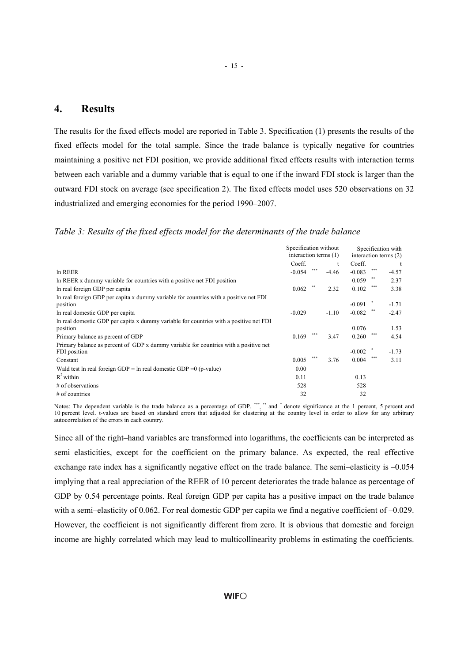#### **4. Results**

The results for the fixed effects model are reported in Table 3. Specification (1) presents the results of the fixed effects model for the total sample. Since the trade balance is typically negative for countries maintaining a positive net FDI position, we provide additional fixed effects results with interaction terms between each variable and a dummy variable that is equal to one if the inward FDI stock is larger than the outward FDI stock on average (see specification 2). The fixed effects model uses 520 observations on 32 industrialized and emerging economies for the period 1990–2007.

#### *Table 3: Results of the fixed effects model for the determinants of the trade balance*

|                                                                                                      | Specification without |     |         | Specification with    |     |         |
|------------------------------------------------------------------------------------------------------|-----------------------|-----|---------|-----------------------|-----|---------|
|                                                                                                      | interaction terms (1) |     |         | interaction terms (2) |     |         |
|                                                                                                      | Coeff.                |     |         | Coeff.                |     | t       |
| In REER                                                                                              | $-0.054$              | *** | $-4.46$ | $-0.083$              | *** | $-4.57$ |
| In REER x dummy variable for countries with a positive net FDI position                              |                       |     |         | 0.059                 |     | 2.37    |
| In real foreign GDP per capita                                                                       | 0.062                 | **  | 2.32    | 0.102                 | *** | 3.38    |
| In real foreign GDP per capita x dummy variable for countries with a positive net FDI<br>position    |                       |     |         | $-0.091$              |     | $-1.71$ |
| In real domestic GDP per capital                                                                     | $-0.029$              |     | $-1.10$ | $-0.082$              |     | $-2.47$ |
| In real domestic GDP per capita x dummy variable for countries with a positive net FDI<br>position   |                       | *** |         | 0.076                 |     | 1.53    |
| Primary balance as percent of GDP                                                                    | 0.169                 |     | 3.47    | 0.260                 | *** | 4.54    |
| Primary balance as percent of GDP x dummy variable for countries with a positive net<br>FDI position |                       |     |         | $-0.002$              |     | $-1.73$ |
| Constant                                                                                             | 0.005                 | *** | 3.76    | 0.004                 |     | 3.11    |
| Wald test ln real foreign $GDP = ln$ real domestic $GDP = 0$ (p-value)                               | 0.00                  |     |         |                       |     |         |
| $R^2$ within                                                                                         | 0.11                  |     |         | 0.13                  |     |         |
| $#$ of observations                                                                                  | 528                   |     |         | 528                   |     |         |
| $#$ of countries                                                                                     | 32                    |     |         | 32                    |     |         |

Notes: The dependent variable is the trade balance as a percentage of GDP. \*\*\*, \*\* and \* denote significance at the 1 percent, 5 percent and 10 percent level. t-values are based on standard errors that adjusted for clustering at the country level in order to allow for any arbitrary autocorrelation of the errors in each country.

Since all of the right–hand variables are transformed into logarithms, the coefficients can be interpreted as semi–elasticities, except for the coefficient on the primary balance. As expected, the real effective exchange rate index has a significantly negative effect on the trade balance. The semi–elasticity is –0.054 implying that a real appreciation of the REER of 10 percent deteriorates the trade balance as percentage of GDP by 0.54 percentage points. Real foreign GDP per capita has a positive impact on the trade balance with a semi–elasticity of 0.062. For real domestic GDP per capita we find a negative coefficient of –0.029. However, the coefficient is not significantly different from zero. It is obvious that domestic and foreign income are highly correlated which may lead to multicollinearity problems in estimating the coefficients.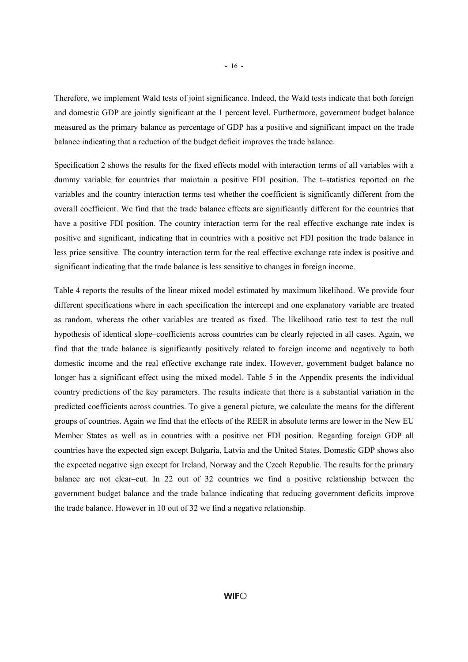Therefore, we implement Wald tests of joint significance. Indeed, the Wald tests indicate that both foreign and domestic GDP are jointly significant at the 1 percent level. Furthermore, government budget balance measured as the primary balance as percentage of GDP has a positive and significant impact on the trade balance indicating that a reduction of the budget deficit improves the trade balance.

Specification 2 shows the results for the fixed effects model with interaction terms of all variables with a dummy variable for countries that maintain a positive FDI position. The t–statistics reported on the variables and the country interaction terms test whether the coefficient is significantly different from the overall coefficient. We find that the trade balance effects are significantly different for the countries that have a positive FDI position. The country interaction term for the real effective exchange rate index is positive and significant, indicating that in countries with a positive net FDI position the trade balance in less price sensitive. The country interaction term for the real effective exchange rate index is positive and significant indicating that the trade balance is less sensitive to changes in foreign income.

Table 4 reports the results of the linear mixed model estimated by maximum likelihood. We provide four different specifications where in each specification the intercept and one explanatory variable are treated as random, whereas the other variables are treated as fixed. The likelihood ratio test to test the null hypothesis of identical slope–coefficients across countries can be clearly rejected in all cases. Again, we find that the trade balance is significantly positively related to foreign income and negatively to both domestic income and the real effective exchange rate index. However, government budget balance no longer has a significant effect using the mixed model. Table 5 in the Appendix presents the individual country predictions of the key parameters. The results indicate that there is a substantial variation in the predicted coefficients across countries. To give a general picture, we calculate the means for the different groups of countries. Again we find that the effects of the REER in absolute terms are lower in the New EU Member States as well as in countries with a positive net FDI position. Regarding foreign GDP all countries have the expected sign except Bulgaria, Latvia and the United States. Domestic GDP shows also the expected negative sign except for Ireland, Norway and the Czech Republic. The results for the primary balance are not clear–cut. In 22 out of 32 countries we find a positive relationship between the government budget balance and the trade balance indicating that reducing government deficits improve the trade balance. However in 10 out of 32 we find a negative relationship.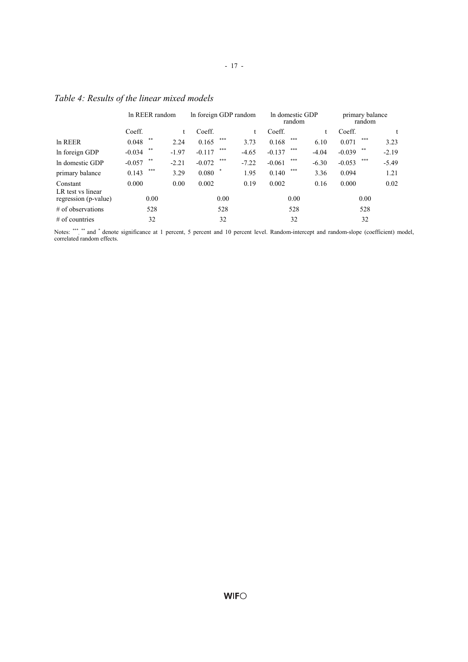|                                           | In REER random    |         | In foreign GDP random |         | In domestic GDP<br>random |         | primary balance<br>random |         |
|-------------------------------------------|-------------------|---------|-----------------------|---------|---------------------------|---------|---------------------------|---------|
|                                           | Coeff.            |         | Coeff.                |         | Coeff.                    | t       | Coeff.                    |         |
| In REER                                   | **<br>0.048       | 2.24    | ***<br>0.165          | 3.73    | ***<br>0.168              | 6.10    | ***<br>0.071              | 3.23    |
| In foreign GDP                            | **<br>$-0.034$    | $-1.97$ | ***<br>$-0.117$       | $-4.65$ | ***<br>$-0.137$           | $-4.04$ | **<br>$-0.039$            | $-2.19$ |
| In domestic GDP                           | $***$<br>$-0.057$ | $-2.21$ | ***<br>$-0.072$       | $-7.22$ | ***<br>$-0.061$           | $-6.30$ | ***<br>$-0.053$           | $-5.49$ |
| primary balance                           | ***<br>0.143      | 3.29    | 0.080                 | 1.95    | ***<br>0.140              | 3.36    | 0.094                     | 1.21    |
| Constant                                  | 0.000             | 0.00    | 0.002                 | 0.19    | 0.002                     | 0.16    | 0.000                     | 0.02    |
| LR test vs linear<br>regression (p-value) | 0.00              |         | 0.00                  |         | 0.00                      |         | 0.00                      |         |
| $#$ of observations                       | 528               |         | 528                   |         | 528                       |         | 528                       |         |
| $#$ of countries                          | 32                |         | 32                    |         | 32                        |         | 32                        |         |

- 17 -

## *Table 4: Results of the linear mixed models*

Notes: \*\*\*, \*\* and \* denote significance at 1 percent, 5 percent and 10 percent level. Random-intercept and random-slope (coefficient) model, correlated random effects.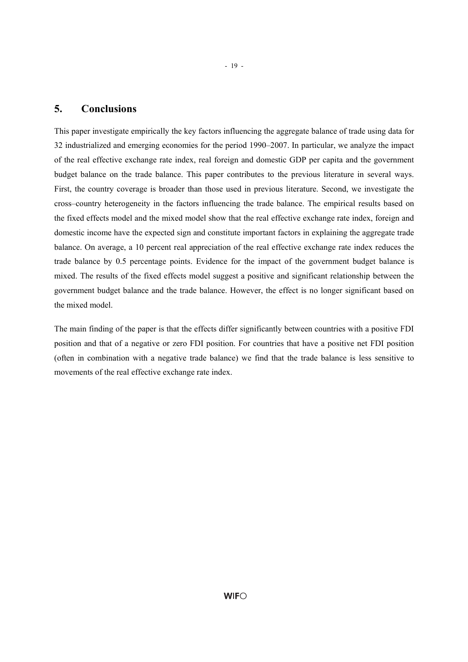#### **5. Conclusions**

This paper investigate empirically the key factors influencing the aggregate balance of trade using data for 32 industrialized and emerging economies for the period 1990–2007. In particular, we analyze the impact of the real effective exchange rate index, real foreign and domestic GDP per capita and the government budget balance on the trade balance. This paper contributes to the previous literature in several ways. First, the country coverage is broader than those used in previous literature. Second, we investigate the cross–country heterogeneity in the factors influencing the trade balance. The empirical results based on the fixed effects model and the mixed model show that the real effective exchange rate index, foreign and domestic income have the expected sign and constitute important factors in explaining the aggregate trade balance. On average, a 10 percent real appreciation of the real effective exchange rate index reduces the trade balance by 0.5 percentage points. Evidence for the impact of the government budget balance is mixed. The results of the fixed effects model suggest a positive and significant relationship between the government budget balance and the trade balance. However, the effect is no longer significant based on the mixed model.

The main finding of the paper is that the effects differ significantly between countries with a positive FDI position and that of a negative or zero FDI position. For countries that have a positive net FDI position (often in combination with a negative trade balance) we find that the trade balance is less sensitive to movements of the real effective exchange rate index.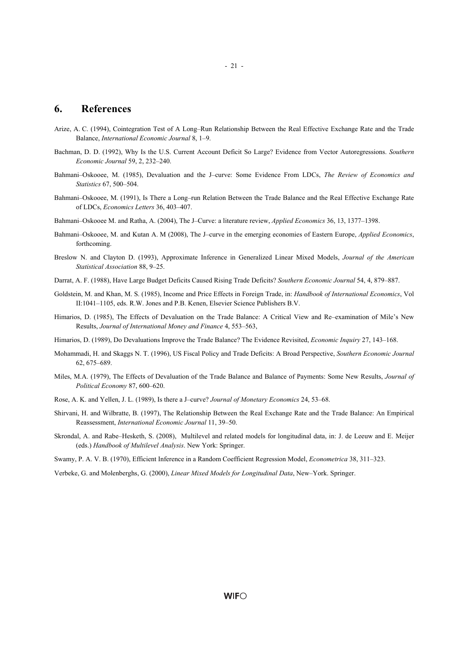#### **6. References**

- Arize, A. C. (1994), Cointegration Test of A Long–Run Relationship Between the Real Effective Exchange Rate and the Trade Balance, *International Economic Journal* 8, 1–9.
- Bachman, D. D. (1992), Why Is the U.S. Current Account Deficit So Large? Evidence from Vector Autoregressions. *Southern Economic Journal* 59, 2, 232–240.
- Bahmani–Oskooee, M. (1985), Devaluation and the J–curve: Some Evidence From LDCs, *The Review of Economics and Statistics* 67, 500–504.
- Bahmani–Oskooee, M. (1991), Is There a Long–run Relation Between the Trade Balance and the Real Effective Exchange Rate of LDCs, *Economics Letters* 36, 403–407.
- Bahmani–Oskooee M. and Ratha, A. (2004), The J–Curve: a literature review, *Applied Economics* 36, 13, 1377–1398.
- Bahmani–Oskooee, M. and Kutan A. M (2008), The J–curve in the emerging economies of Eastern Europe, *Applied Economics*, forthcoming.
- Breslow N. and Clayton D. (1993), Approximate Inference in Generalized Linear Mixed Models, *Journal of the American Statistical Association* 88, 9–25.
- Darrat, A. F. (1988), Have Large Budget Deficits Caused Rising Trade Deficits? *Southern Economic Journal* 54, 4, 879–887.
- Goldstein, M. and Khan, M. S. (1985), Income and Price Effects in Foreign Trade, in: *Handbook of International Economics*, Vol II:1041–1105, eds. R.W. Jones and P.B. Kenen, Elsevier Science Publishers B.V.
- Himarios, D. (1985), The Effects of Devaluation on the Trade Balance: A Critical View and Re–examination of Mile's New Results, *Journal of International Money and Finance* 4, 553–563,
- Himarios, D. (1989), Do Devaluations Improve the Trade Balance? The Evidence Revisited, *Economic Inquiry* 27, 143–168.
- Mohammadi, H. and Skaggs N. T. (1996), US Fiscal Policy and Trade Deficits: A Broad Perspective, *Southern Economic Journal* 62, 675–689.
- Miles, M.A. (1979), The Effects of Devaluation of the Trade Balance and Balance of Payments: Some New Results, *Journal of Political Economy* 87, 600–620.
- Rose, A. K. and Yellen, J. L. (1989), Is there a J–curve? *Journal of Monetary Economics* 24, 53–68.
- Shirvani, H. and Wilbratte, B. (1997), The Relationship Between the Real Exchange Rate and the Trade Balance: An Empirical Reassessment, *International Economic Journal* 11, 39–50.
- Skrondal, A. and Rabe–Hesketh, S. (2008), Multilevel and related models for longitudinal data, in: J. de Leeuw and E. Meijer (eds.) *Handbook of Multilevel Analysis*. New York: Springer.
- Swamy, P. A. V. B. (1970), Efficient Inference in a Random Coefficient Regression Model, *Econometrica* 38, 311–323.
- Verbeke, G. and Molenberghs, G. (2000), *Linear Mixed Models for Longitudinal Data*, New–York. Springer.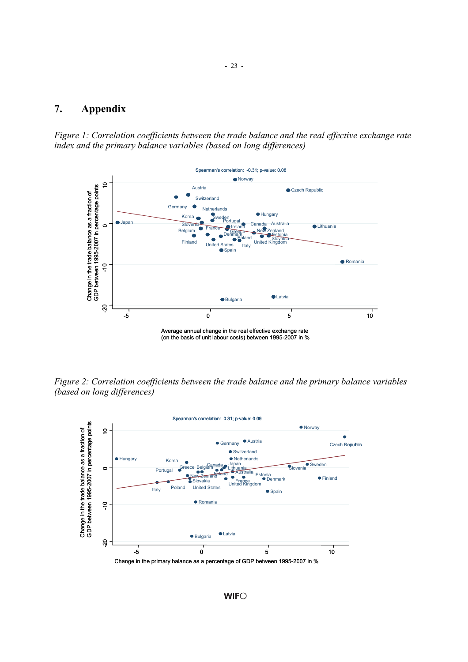## **7. Appendix**

*Figure 1: Correlation coefficients between the trade balance and the real effective exchange rate index and the primary balance variables (based on long differences)* 



*Figure 2: Correlation coefficients between the trade balance and the primary balance variables (based on long differences)* 



**WIFO**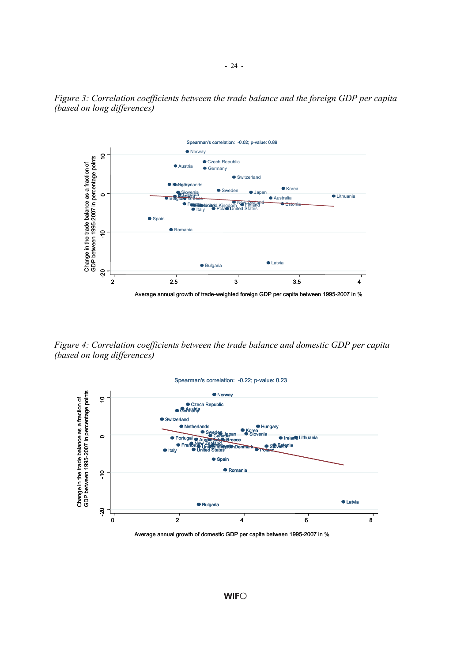

*Figure 3: Correlation coefficients between the trade balance and the foreign GDP per capita (based on long differences)* 

*Figure 4: Correlation coefficients between the trade balance and domestic GDP per capita (based on long differences)* 



Average annual growth of domestic GDP per capita between 1995-2007 in %